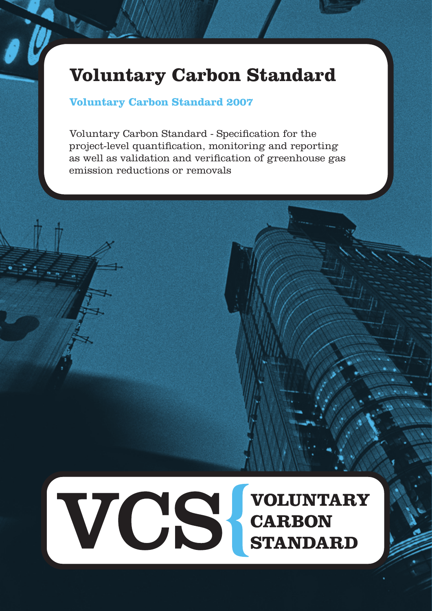# **Voluntary Carbon Standard**

# **Voluntary Carbon Standard 2007**

Voluntary Carbon Standard - Specification for the project-level quantification, monitoring and reporting as well as validation and verification of greenhouse gas emission reductions or removals

VCS CARBON<br>STANDAI **VOLUNTARY STANDARD**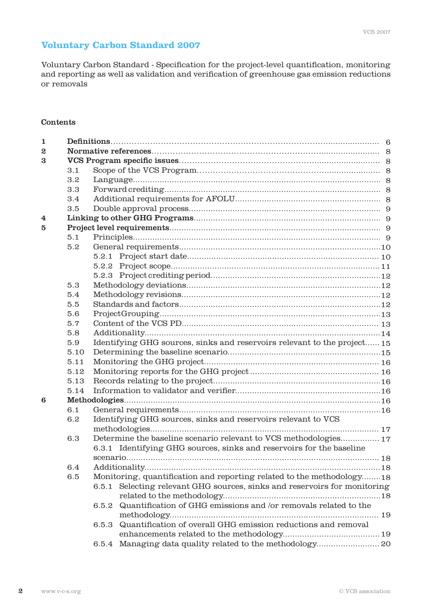# **Voluntary Carbon Standard 2007**

Voluntary Carbon Standard - Specification for the project-level quantification, monitoring and reporting as well as validation and verification of greenhouse gas emission reductions or removals

#### Contents

| 1 |      |                                                                         |                                                                       |  |  |  |  |  |
|---|------|-------------------------------------------------------------------------|-----------------------------------------------------------------------|--|--|--|--|--|
| 2 |      |                                                                         |                                                                       |  |  |  |  |  |
| 3 |      |                                                                         |                                                                       |  |  |  |  |  |
|   | 3.1  |                                                                         |                                                                       |  |  |  |  |  |
|   | 3.2  |                                                                         |                                                                       |  |  |  |  |  |
|   | 3.3  |                                                                         |                                                                       |  |  |  |  |  |
|   | 3.4  |                                                                         |                                                                       |  |  |  |  |  |
|   | 3.5  |                                                                         |                                                                       |  |  |  |  |  |
| 4 |      |                                                                         |                                                                       |  |  |  |  |  |
| 5 |      |                                                                         |                                                                       |  |  |  |  |  |
|   | 5.1  |                                                                         |                                                                       |  |  |  |  |  |
|   | 5.2  |                                                                         |                                                                       |  |  |  |  |  |
|   |      |                                                                         |                                                                       |  |  |  |  |  |
|   |      |                                                                         |                                                                       |  |  |  |  |  |
|   |      |                                                                         |                                                                       |  |  |  |  |  |
|   | 5.3  |                                                                         |                                                                       |  |  |  |  |  |
|   | 5.4  |                                                                         |                                                                       |  |  |  |  |  |
|   | 5.5  |                                                                         |                                                                       |  |  |  |  |  |
|   | 5.6  |                                                                         |                                                                       |  |  |  |  |  |
|   | 5.7  |                                                                         |                                                                       |  |  |  |  |  |
|   | 5.8  |                                                                         |                                                                       |  |  |  |  |  |
|   | 5.9  | Identifying GHG sources, sinks and reservoirs relevant to the project15 |                                                                       |  |  |  |  |  |
|   | 5.10 |                                                                         |                                                                       |  |  |  |  |  |
|   | 5.11 |                                                                         |                                                                       |  |  |  |  |  |
|   | 5.12 |                                                                         |                                                                       |  |  |  |  |  |
|   | 5.13 |                                                                         |                                                                       |  |  |  |  |  |
|   | 5.14 |                                                                         |                                                                       |  |  |  |  |  |
| 6 |      |                                                                         |                                                                       |  |  |  |  |  |
|   | 6.1  |                                                                         |                                                                       |  |  |  |  |  |
|   | 6.2  |                                                                         | Identifying GHG sources, sinks and reservoirs relevant to VCS         |  |  |  |  |  |
|   |      |                                                                         |                                                                       |  |  |  |  |  |
|   | 6.3  |                                                                         | Determine the baseline scenario relevant to VCS methodologies 17      |  |  |  |  |  |
|   |      |                                                                         | 6.3.1 Identifying GHG sources, sinks and reservoirs for the baseline  |  |  |  |  |  |
|   |      |                                                                         |                                                                       |  |  |  |  |  |
|   | 6.4  |                                                                         |                                                                       |  |  |  |  |  |
|   | 6.5  |                                                                         | Monitoring, quantification and reporting related to the methodology18 |  |  |  |  |  |
|   |      | 6.5.1                                                                   | Selecting relevant GHG sources, sinks and reservoirs for monitoring   |  |  |  |  |  |
|   |      |                                                                         |                                                                       |  |  |  |  |  |
|   |      | 6.5.2                                                                   | Quantification of GHG emissions and /or removals related to the       |  |  |  |  |  |
|   |      |                                                                         |                                                                       |  |  |  |  |  |
|   |      | 6.5.3                                                                   | Quantification of overall GHG emission reductions and removal         |  |  |  |  |  |
|   |      |                                                                         |                                                                       |  |  |  |  |  |
|   |      | 6.5.4                                                                   | Managing data quality related to the methodology 20                   |  |  |  |  |  |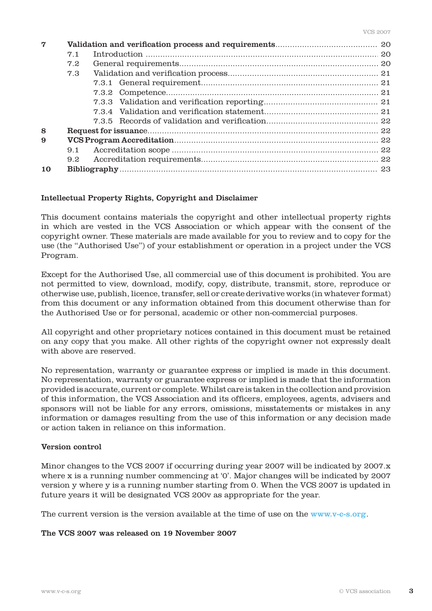| 7  |     |  |  |  |  |  |
|----|-----|--|--|--|--|--|
|    | 7.1 |  |  |  |  |  |
|    | 7.2 |  |  |  |  |  |
|    | 7.3 |  |  |  |  |  |
|    |     |  |  |  |  |  |
|    |     |  |  |  |  |  |
|    |     |  |  |  |  |  |
|    |     |  |  |  |  |  |
|    |     |  |  |  |  |  |
| 8  |     |  |  |  |  |  |
| 9  |     |  |  |  |  |  |
|    | 9.1 |  |  |  |  |  |
|    | 9.2 |  |  |  |  |  |
| 10 |     |  |  |  |  |  |

#### Intellectual Property Rights, Copyright and Disclaimer

This document contains materials the copyright and other intellectual property rights in which are vested in the VCS Association or which appear with the consent of the copyright owner. These materials are made available for you to review and to copy for the use (the "Authorised Use") of your establishment or operation in a project under the VCS Program.

Except for the Authorised Use, all commercial use of this document is prohibited. You are not permitted to view, download, modify, copy, distribute, transmit, store, reproduce or otherwise use, publish, licence, transfer, sell or create derivative works (in whatever format) from this document or any information obtained from this document otherwise than for the Authorised Use or for personal, academic or other non-commercial purposes.

All copyright and other proprietary notices contained in this document must be retained on any copy that you make. All other rights of the copyright owner not expressly dealt with above are reserved.

No representation, warranty or guarantee express or implied is made in this document. No representation, warranty or guarantee express or implied is made that the information provided is accurate, current or complete. Whilst care is taken in the collection and provision of this information, the VCS Association and its officers, employees, agents, advisers and sponsors will not be liable for any errors, omissions, misstatements or mistakes in any information or damages resulting from the use of this information or any decision made or action taken in reliance on this information.

#### Version control

Minor changes to the VCS 2007 if occurring during year 2007 will be indicated by 2007.x where x is a running number commencing at '0'. Major changes will be indicated by 2007 version y where y is a running number starting from 0. When the VCS 2007 is updated in future years it will be designated VCS 200v as appropriate for the year.

The current version is the version available at the time of use on the www.v-c-s.org.

#### The VCS 2007 was released on 19 November 2007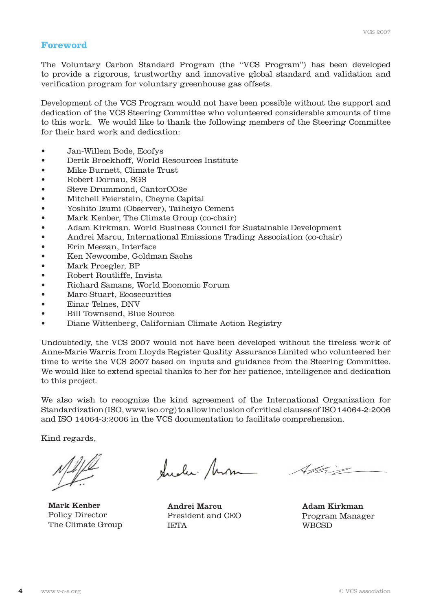# **Foreword**

The Voluntary Carbon Standard Program (the "VCS Program") has been developed to provide a rigorous, trustworthy and innovative global standard and validation and verification program for voluntary greenhouse gas offsets.

Development of the VCS Program would not have been possible without the support and dedication of the VCS Steering Committee who volunteered considerable amounts of time to this work. We would like to thank the following members of the Steering Committee for their hard work and dedication:

- • Jan-Willem Bode, Ecofys
- • Derik Broekhoff, World Resources Institute
- Mike Burnett, Climate Trust
- • Robert Dornau, SGS
- Steve Drummond, CantorCO2e
- Mitchell Feierstein, Cheyne Capital
- • Yoshito Izumi (Observer), Taiheiyo Cement
- Mark Kenber, The Climate Group (co-chair)
- • Adam Kirkman, World Business Council for Sustainable Development
- Andrei Marcu, International Emissions Trading Association (co-chair)
- Erin Meezan, Interface
- Ken Newcombe, Goldman Sachs
- Mark Proegler, BP
- • Robert Routliffe, Invista
- Richard Samans, World Economic Forum
- Marc Stuart, Ecosecurities
- • Einar Telnes, DNV
- Bill Townsend, Blue Source
- Diane Wittenberg, Californian Climate Action Registry

Undoubtedly, the VCS 2007 would not have been developed without the tireless work of Anne-Marie Warris from Lloyds Register Quality Assurance Limited who volunteered her time to write the VCS 2007 based on inputs and guidance from the Steering Committee. We would like to extend special thanks to her for her patience, intelligence and dedication to this project.

We also wish to recognize the kind agreement of the International Organization for Standardization (ISO, www.iso.org)to allow inclusion of critical clauses of ISO 14064-2:2006 and ISO 14064-3:2006 in the VCS documentation to facilitate comprehension.

Kind regards,

 Mark Kenber Policy Director The Climate Group

Quelec- Mom

Andrei Marcu President and CEO IETA

Allie

Adam Kirkman Program Manager **WBCSD**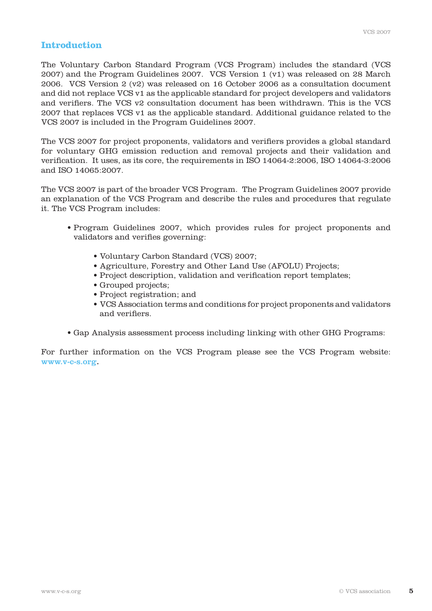# **Introduction**

The Voluntary Carbon Standard Program (VCS Program) includes the standard (VCS 2007) and the Program Guidelines 2007. VCS Version 1 (v1) was released on 28 March 2006. VCS Version 2 (v2) was released on 16 October 2006 as a consultation document and did not replace VCS v1 as the applicable standard for project developers and validators and verifiers. The VCS v2 consultation document has been withdrawn. This is the VCS 2007 that replaces VCS v1 as the applicable standard. Additional guidance related to the VCS 2007 is included in the Program Guidelines 2007.

The VCS 2007 for project proponents, validators and verifiers provides a global standard for voluntary GHG emission reduction and removal projects and their validation and verification. It uses, as its core, the requirements in ISO 14064-2:2006, ISO 14064-3:2006 and ISO 14065:2007.

The VCS 2007 is part of the broader VCS Program. The Program Guidelines 2007 provide an explanation of the VCS Program and describe the rules and procedures that regulate it. The VCS Program includes:

- Program Guidelines 2007, which provides rules for project proponents and validators and verifies governing:
	- Voluntary Carbon Standard (VCS) 2007;
	- Agriculture, Forestry and Other Land Use (AFOLU) Projects;
	- Project description, validation and verification report templates;
	- Grouped projects;
	- Project registration; and
	- VCS Association terms and conditions for project proponents and validators and verifiers.
- Gap Analysis assessment process including linking with other GHG Programs:

For further information on the VCS Program please see the VCS Program website: www.v-c-s.org.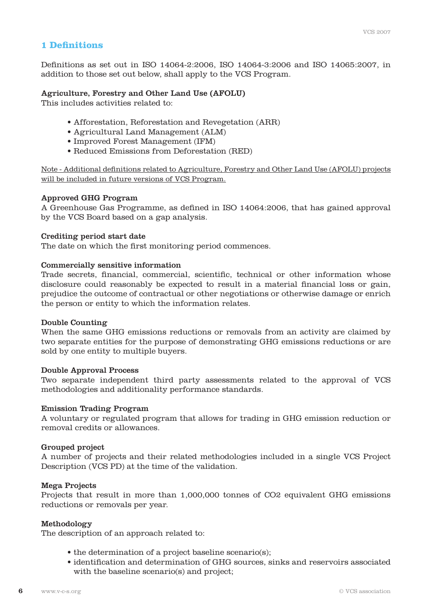# **1 Definitions**

Definitions as set out in ISO 14064-2:2006, ISO 14064-3:2006 and ISO 14065:2007, in addition to those set out below, shall apply to the VCS Program.

#### Agriculture, Forestry and Other Land Use (AFOLU)

This includes activities related to:

- Afforestation, Reforestation and Revegetation (ARR)
- Agricultural Land Management (ALM)
- Improved Forest Management (IFM)
- Reduced Emissions from Deforestation (RED)

Note - Additional definitions related to Agriculture, Forestry and Other Land Use (AFOLU) projects will be included in future versions of VCS Program.

#### Approved GHG Program

A Greenhouse Gas Programme, as defined in ISO 14064:2006, that has gained approval by the VCS Board based on a gap analysis.

#### Crediting period start date

The date on which the first monitoring period commences.

#### Commercially sensitive information

Trade secrets, financial, commercial, scientific, technical or other information whose disclosure could reasonably be expected to result in a material financial loss or gain, prejudice the outcome of contractual or other negotiations or otherwise damage or enrich the person or entity to which the information relates.

#### Double Counting

When the same GHG emissions reductions or removals from an activity are claimed by two separate entities for the purpose of demonstrating GHG emissions reductions or are sold by one entity to multiple buyers.

#### Double Approval Process

Two separate independent third party assessments related to the approval of VCS methodologies and additionality performance standards.

#### Emission Trading Program

A voluntary or regulated program that allows for trading in GHG emission reduction or removal credits or allowances.

#### Grouped project

A number of projects and their related methodologies included in a single VCS Project Description (VCS PD) at the time of the validation.

#### Mega Projects

Projects that result in more than 1,000,000 tonnes of CO2 equivalent GHG emissions reductions or removals per year.

#### Methodology

The description of an approach related to:

- the determination of a project baseline scenario(s);
- identification and determination of GHG sources, sinks and reservoirs associated with the baseline scenario(s) and project;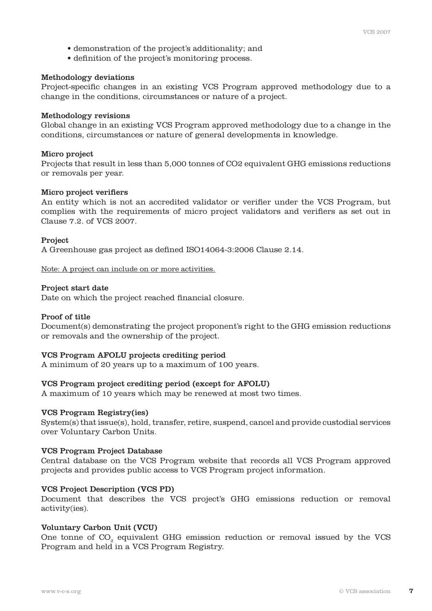- demonstration of the project's additionality; and
- definition of the project's monitoring process.

#### Methodology deviations

Project-specific changes in an existing VCS Program approved methodology due to a change in the conditions, circumstances or nature of a project.

#### Methodology revisions

Global change in an existing VCS Program approved methodology due to a change in the conditions, circumstances or nature of general developments in knowledge.

#### Micro project

Projects that result in less than 5,000 tonnes of CO2 equivalent GHG emissions reductions or removals per year.

#### Micro project verifiers

An entity which is not an accredited validator or verifier under the VCS Program, but complies with the requirements of micro project validators and verifiers as set out in Clause 7.2. of VCS 2007.

#### Project

A Greenhouse gas project as defined ISO14064-3:2006 Clause 2.14.

Note: A project can include on or more activities.

#### Project start date

Date on which the project reached financial closure.

#### Proof of title

Document(s) demonstrating the project proponent's right to the GHG emission reductions or removals and the ownership of the project.

#### VCS Program AFOLU projects crediting period

A minimum of 20 years up to a maximum of 100 years.

#### VCS Program project crediting period (except for AFOLU)

A maximum of 10 years which may be renewed at most two times.

#### VCS Program Registry(ies)

System(s) that issue(s), hold, transfer, retire, suspend, cancel and provide custodial services over Voluntary Carbon Units.

#### VCS Program Project Database

Central database on the VCS Program website that records all VCS Program approved projects and provides public access to VCS Program project information.

#### VCS Project Description (VCS PD)

Document that describes the VCS project's GHG emissions reduction or removal activity(ies).

#### Voluntary Carbon Unit (VCU)

One tonne of CO<sub>2</sub> equivalent GHG emission reduction or removal issued by the VCS Program and held in a VCS Program Registry.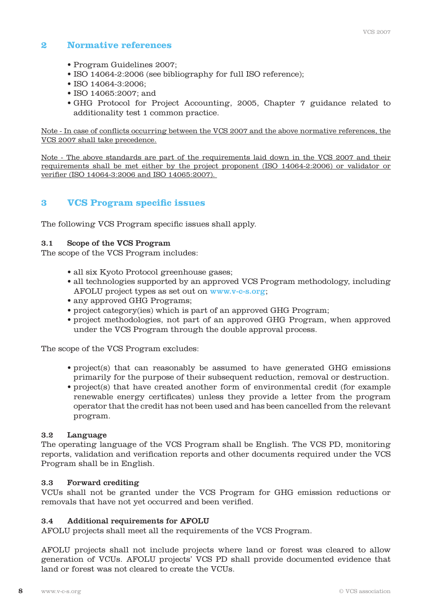# **2 Normative references**

- Program Guidelines 2007;
- ISO 14064-2:2006 (see bibliography for full ISO reference);
- ISO 14064-3:2006;
- ISO 14065:2007; and
- GHG Protocol for Project Accounting, 2005, Chapter 7 guidance related to additionality test 1 common practice.

Note - In case of conflicts occurring between the VCS 2007 and the above normative references, the VCS 2007 shall take precedence.

Note - The above standards are part of the requirements laid down in the VCS 2007 and their requirements shall be met either by the project proponent (ISO 14064-2:2006) or validator or verifier (ISO 14064-3:2006 and ISO 14065:2007).

# **3 VCS Program specific issues**

The following VCS Program specific issues shall apply.

## 3.1 Scope of the VCS Program

The scope of the VCS Program includes:

- all six Kyoto Protocol greenhouse gases;
- all technologies supported by an approved VCS Program methodology, including AFOLU project types as set out on www.v-c-s.org;
- any approved GHG Programs;
- project category(ies) which is part of an approved GHG Program;
- project methodologies, not part of an approved GHG Program, when approved under the VCS Program through the double approval process.

The scope of the VCS Program excludes:

- project(s) that can reasonably be assumed to have generated GHG emissions primarily for the purpose of their subsequent reduction, removal or destruction.
- project(s) that have created another form of environmental credit (for example renewable energy certificates) unless they provide a letter from the program operator that the credit has not been used and has been cancelled from the relevant program.

#### 3.2 Language

The operating language of the VCS Program shall be English. The VCS PD, monitoring reports, validation and verification reports and other documents required under the VCS Program shall be in English.

#### 3.3 Forward crediting

VCUs shall not be granted under the VCS Program for GHG emission reductions or removals that have not yet occurred and been verified.

#### 3.4 Additional requirements for AFOLU

AFOLU projects shall meet all the requirements of the VCS Program.

AFOLU projects shall not include projects where land or forest was cleared to allow generation of VCUs. AFOLU projects' VCS PD shall provide documented evidence that land or forest was not cleared to create the VCUs.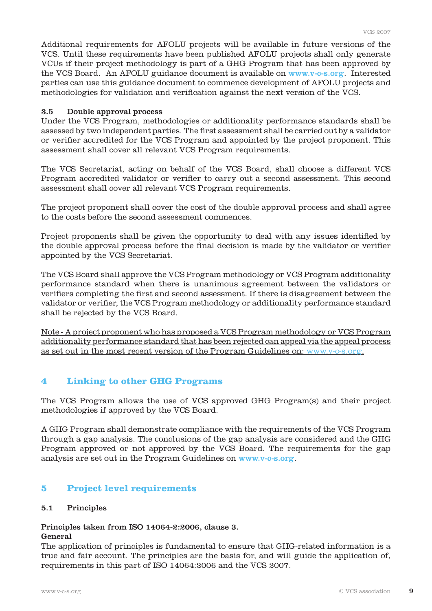Additional requirements for AFOLU projects will be available in future versions of the VCS. Until these requirements have been published AFOLU projects shall only generate VCUs if their project methodology is part of a GHG Program that has been approved by the VCS Board. An AFOLU guidance document is available on www.v-c-s.org. Interested parties can use this guidance document to commence development of AFOLU projects and methodologies for validation and verification against the next version of the VCS.

#### 3.5 Double approval process

Under the VCS Program, methodologies or additionality performance standards shall be assessed by two independent parties. The first assessment shall be carried out by a validator or verifier accredited for the VCS Program and appointed by the project proponent. This assessment shall cover all relevant VCS Program requirements.

The VCS Secretariat, acting on behalf of the VCS Board, shall choose a different VCS Program accredited validator or verifier to carry out a second assessment. This second assessment shall cover all relevant VCS Program requirements.

The project proponent shall cover the cost of the double approval process and shall agree to the costs before the second assessment commences.

Project proponents shall be given the opportunity to deal with any issues identified by the double approval process before the final decision is made by the validator or verifier appointed by the VCS Secretariat.

The VCS Board shall approve the VCS Program methodology or VCS Program additionality performance standard when there is unanimous agreement between the validators or verifiers completing the first and second assessment. If there is disagreement between the validator or verifier, the VCS Program methodology or additionality performance standard shall be rejected by the VCS Board.

Note - A project proponent who has proposed a VCS Program methodology or VCS Program additionality performance standard that has been rejected can appeal via the appeal process as set out in the most recent version of the Program Guidelines on: www.v-c-s.org.

# **4 Linking to other GHG Programs**

The VCS Program allows the use of VCS approved GHG Program(s) and their project methodologies if approved by the VCS Board.

A GHG Program shall demonstrate compliance with the requirements of the VCS Program through a gap analysis. The conclusions of the gap analysis are considered and the GHG Program approved or not approved by the VCS Board. The requirements for the gap analysis are set out in the Program Guidelines on www.v-c-s.org.

# **5 Project level requirements**

#### 5.1 Principles

# Principles taken from ISO 14064-2:2006, clause 3.

# General

The application of principles is fundamental to ensure that GHG-related information is a true and fair account. The principles are the basis for, and will guide the application of, requirements in this part of ISO 14064:2006 and the VCS 2007.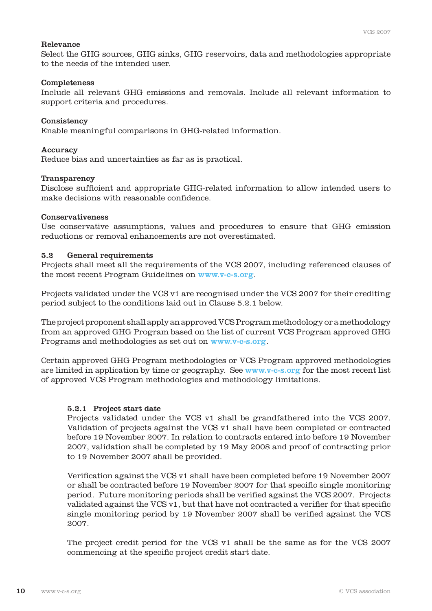#### Relevance

Select the GHG sources, GHG sinks, GHG reservoirs, data and methodologies appropriate to the needs of the intended user.

#### Completeness

Include all relevant GHG emissions and removals. Include all relevant information to support criteria and procedures.

#### **Consistency**

Enable meaningful comparisons in GHG-related information.

#### Accuracy

Reduce bias and uncertainties as far as is practical.

#### Transparency

Disclose sufficient and appropriate GHG-related information to allow intended users to make decisions with reasonable confidence.

#### Conservativeness

Use conservative assumptions, values and procedures to ensure that GHG emission reductions or removal enhancements are not overestimated.

#### 5.2 General requirements

Projects shall meet all the requirements of the VCS 2007, including referenced clauses of the most recent Program Guidelines on www.v-c-s.org.

Projects validated under the VCS v1 are recognised under the VCS 2007 for their crediting period subject to the conditions laid out in Clause 5.2.1 below.

The project proponent shall apply an approved VCS Program methodology or a methodology from an approved GHG Program based on the list of current VCS Program approved GHG Programs and methodologies as set out on www.v-c-s.org.

Certain approved GHG Program methodologies or VCS Program approved methodologies are limited in application by time or geography. See www.v-c-s.org for the most recent list of approved VCS Program methodologies and methodology limitations.

#### 5.2.1 Project start date

 Projects validated under the VCS v1 shall be grandfathered into the VCS 2007. Validation of projects against the VCS v1 shall have been completed or contracted before 19 November 2007. In relation to contracts entered into before 19 November 2007, validation shall be completed by 19 May 2008 and proof of contracting prior to 19 November 2007 shall be provided.

 Verification against the VCS v1 shall have been completed before 19 November 2007 or shall be contracted before 19 November 2007 for that specific single monitoring period. Future monitoring periods shall be verified against the VCS 2007. Projects validated against the VCS v1, but that have not contracted a verifier for that specific single monitoring period by 19 November 2007 shall be verified against the VCS 2007.

 The project credit period for the VCS v1 shall be the same as for the VCS 2007 commencing at the specific project credit start date.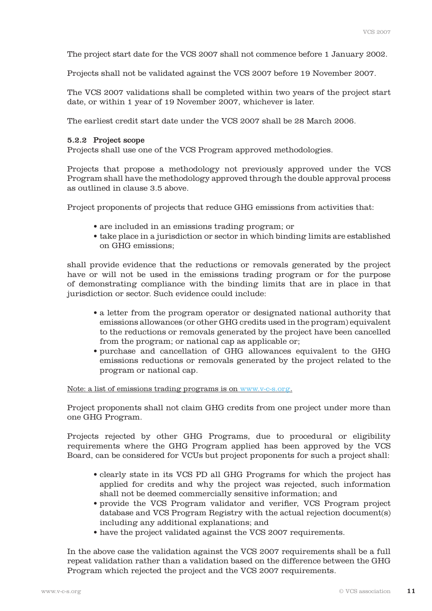The project start date for the VCS 2007 shall not commence before 1 January 2002.

Projects shall not be validated against the VCS 2007 before 19 November 2007.

 The VCS 2007 validations shall be completed within two years of the project start date, or within 1 year of 19 November 2007, whichever is later.

The earliest credit start date under the VCS 2007 shall be 28 March 2006.

#### 5.2.2 Project scope

Projects shall use one of the VCS Program approved methodologies.

 Projects that propose a methodology not previously approved under the VCS Program shall have the methodology approved through the double approval process as outlined in clause 3.5 above.

Project proponents of projects that reduce GHG emissions from activities that:

- are included in an emissions trading program; or
- take place in a jurisdiction or sector in which binding limits are established on GHG emissions;

 shall provide evidence that the reductions or removals generated by the project have or will not be used in the emissions trading program or for the purpose of demonstrating compliance with the binding limits that are in place in that jurisdiction or sector. Such evidence could include:

- a letter from the program operator or designated national authority that emissions allowances (or other GHG credits used in the program) equivalent to the reductions or removals generated by the project have been cancelled from the program; or national cap as applicable or;
- purchase and cancellation of GHG allowances equivalent to the GHG emissions reductions or removals generated by the project related to the program or national cap.

Note: a list of emissions trading programs is on www.v-c-s.org.

 Project proponents shall not claim GHG credits from one project under more than one GHG Program.

 Projects rejected by other GHG Programs, due to procedural or eligibility requirements where the GHG Program applied has been approved by the VCS Board, can be considered for VCUs but project proponents for such a project shall:

- clearly state in its VCS PD all GHG Programs for which the project has applied for credits and why the project was rejected, such information shall not be deemed commercially sensitive information; and
- provide the VCS Program validator and verifier, VCS Program project database and VCS Program Registry with the actual rejection document(s) including any additional explanations; and
- have the project validated against the VCS 2007 requirements.

 In the above case the validation against the VCS 2007 requirements shall be a full repeat validation rather than a validation based on the difference between the GHG Program which rejected the project and the VCS 2007 requirements.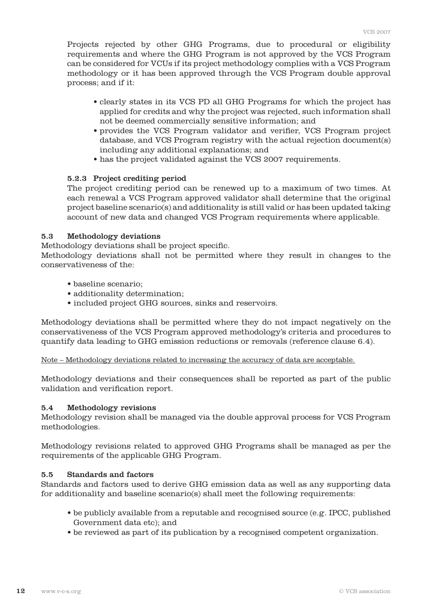Projects rejected by other GHG Programs, due to procedural or eligibility requirements and where the GHG Program is not approved by the VCS Program can be considered for VCUs if its project methodology complies with a VCS Program methodology or it has been approved through the VCS Program double approval process; and if it:

- clearly states in its VCS PD all GHG Programs for which the project has applied for credits and why the project was rejected, such information shall not be deemed commercially sensitive information; and
- provides the VCS Program validator and verifier, VCS Program project database, and VCS Program registry with the actual rejection document(s) including any additional explanations; and
- has the project validated against the VCS 2007 requirements.

#### 5.2.3 Project crediting period

 The project crediting period can be renewed up to a maximum of two times. At each renewal a VCS Program approved validator shall determine that the original project baseline scenario(s) and additionality is still valid or has been updated taking account of new data and changed VCS Program requirements where applicable.

#### 5.3 Methodology deviations

Methodology deviations shall be project specific.

Methodology deviations shall not be permitted where they result in changes to the conservativeness of the:

- baseline scenario;
- additionality determination;
- included project GHG sources, sinks and reservoirs.

Methodology deviations shall be permitted where they do not impact negatively on the conservativeness of the VCS Program approved methodology's criteria and procedures to quantify data leading to GHG emission reductions or removals (reference clause 6.4).

Note – Methodology deviations related to increasing the accuracy of data are acceptable.

Methodology deviations and their consequences shall be reported as part of the public validation and verification report.

#### 5.4 Methodology revisions

Methodology revision shall be managed via the double approval process for VCS Program methodologies.

Methodology revisions related to approved GHG Programs shall be managed as per the requirements of the applicable GHG Program.

#### 5.5 Standards and factors

Standards and factors used to derive GHG emission data as well as any supporting data for additionality and baseline scenario(s) shall meet the following requirements:

- be publicly available from a reputable and recognised source (e.g. IPCC, published Government data etc); and
- be reviewed as part of its publication by a recognised competent organization.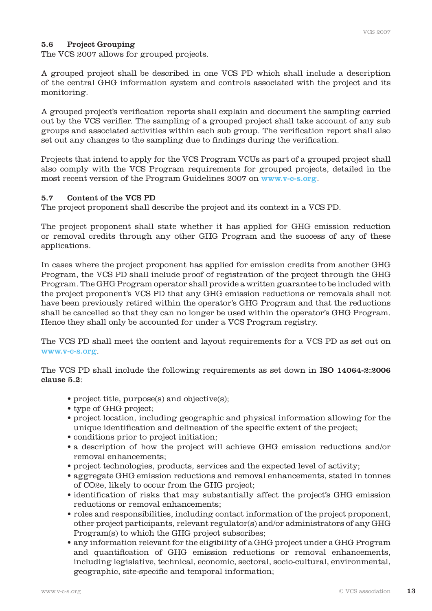#### 5.6 Project Grouping

The VCS 2007 allows for grouped projects.

A grouped project shall be described in one VCS PD which shall include a description of the central GHG information system and controls associated with the project and its monitoring.

A grouped project's verification reports shall explain and document the sampling carried out by the VCS verifier. The sampling of a grouped project shall take account of any sub groups and associated activities within each sub group. The verification report shall also set out any changes to the sampling due to findings during the verification.

Projects that intend to apply for the VCS Program VCUs as part of a grouped project shall also comply with the VCS Program requirements for grouped projects, detailed in the most recent version of the Program Guidelines 2007 on www.v-c-s.org.

#### 5.7 Content of the VCS PD

The project proponent shall describe the project and its context in a VCS PD.

The project proponent shall state whether it has applied for GHG emission reduction or removal credits through any other GHG Program and the success of any of these applications.

In cases where the project proponent has applied for emission credits from another GHG Program, the VCS PD shall include proof of registration of the project through the GHG Program. The GHG Program operator shall provide a written guarantee to be included with the project proponent's VCS PD that any GHG emission reductions or removals shall not have been previously retired within the operator's GHG Program and that the reductions shall be cancelled so that they can no longer be used within the operator's GHG Program. Hence they shall only be accounted for under a VCS Program registry.

The VCS PD shall meet the content and layout requirements for a VCS PD as set out on www.v-c-s.org.

The VCS PD shall include the following requirements as set down in ISO 14064-2:2006 clause 5.2:

- project title, purpose(s) and objective(s);
- type of GHG project;
- project location, including geographic and physical information allowing for the unique identification and delineation of the specific extent of the project;
- conditions prior to project initiation;
- a description of how the project will achieve GHG emission reductions and/or removal enhancements;
- project technologies, products, services and the expected level of activity;
- aggregate GHG emission reductions and removal enhancements, stated in tonnes of CO2e, likely to occur from the GHG project;
- identification of risks that may substantially affect the project's GHG emission reductions or removal enhancements;
- roles and responsibilities, including contact information of the project proponent, other project participants, relevant regulator(s) and/or administrators of any GHG Program(s) to which the GHG project subscribes;
- any information relevant for the eligibility of a GHG project under a GHG Program and quantification of GHG emission reductions or removal enhancements, including legislative, technical, economic, sectoral, socio-cultural, environmental, geographic, site-specific and temporal information;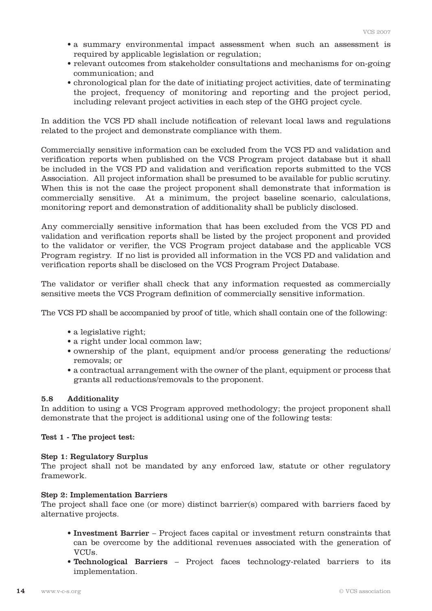- a summary environmental impact assessment when such an assessment is required by applicable legislation or regulation;
- relevant outcomes from stakeholder consultations and mechanisms for on-going communication; and
- chronological plan for the date of initiating project activities, date of terminating the project, frequency of monitoring and reporting and the project period, including relevant project activities in each step of the GHG project cycle.

In addition the VCS PD shall include notification of relevant local laws and regulations related to the project and demonstrate compliance with them.

Commercially sensitive information can be excluded from the VCS PD and validation and verification reports when published on the VCS Program project database but it shall be included in the VCS PD and validation and verification reports submitted to the VCS Association. All project information shall be presumed to be available for public scrutiny. When this is not the case the project proponent shall demonstrate that information is commercially sensitive. At a minimum, the project baseline scenario, calculations, monitoring report and demonstration of additionality shall be publicly disclosed.

Any commercially sensitive information that has been excluded from the VCS PD and validation and verification reports shall be listed by the project proponent and provided to the validator or verifier, the VCS Program project database and the applicable VCS Program registry. If no list is provided all information in the VCS PD and validation and verification reports shall be disclosed on the VCS Program Project Database.

The validator or verifier shall check that any information requested as commercially sensitive meets the VCS Program definition of commercially sensitive information.

The VCS PD shall be accompanied by proof of title, which shall contain one of the following:

- a legislative right;
- a right under local common law;
- ownership of the plant, equipment and/or process generating the reductions/ removals; or
- a contractual arrangement with the owner of the plant, equipment or process that grants all reductions/removals to the proponent.

#### 5.8 Additionality

In addition to using a VCS Program approved methodology; the project proponent shall demonstrate that the project is additional using one of the following tests:

Test 1 - The project test:

#### Step 1: Regulatory Surplus

The project shall not be mandated by any enforced law, statute or other regulatory framework.

#### Step 2: Implementation Barriers

The project shall face one (or more) distinct barrier(s) compared with barriers faced by alternative projects.

- Investment Barrier Project faces capital or investment return constraints that can be overcome by the additional revenues associated with the generation of VCUs.
- Technological Barriers Project faces technology-related barriers to its implementation.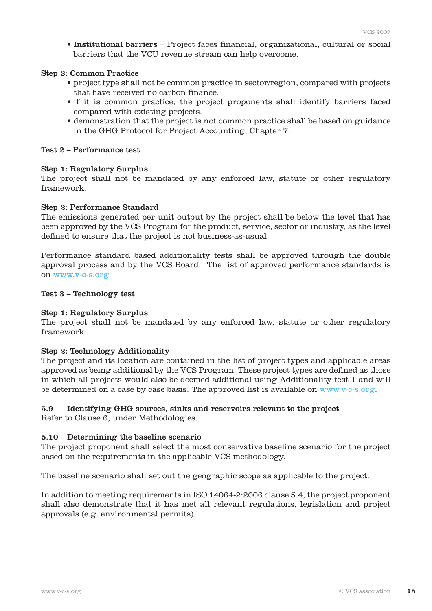• Institutional barriers – Project faces financial, organizational, cultural or social barriers that the VCU revenue stream can help overcome.

#### Step 3: Common Practice

- project type shall not be common practice in sector/region, compared with projects that have received no carbon finance.
- if it is common practice, the project proponents shall identify barriers faced compared with existing projects.
- demonstration that the project is not common practice shall be based on guidance in the GHG Protocol for Project Accounting, Chapter 7.

#### Test 2 – Performance test

#### Step 1: Regulatory Surplus

The project shall not be mandated by any enforced law, statute or other regulatory framework.

#### Step 2: Performance Standard

The emissions generated per unit output by the project shall be below the level that has been approved by the VCS Program for the product, service, sector or industry, as the level defined to ensure that the project is not business-as-usual

Performance standard based additionality tests shall be approved through the double approval process and by the VCS Board. The list of approved performance standards is on www.v-c-s.org.

#### Test 3 – Technology test

#### Step 1: Regulatory Surplus

The project shall not be mandated by any enforced law, statute or other regulatory framework.

#### Step 2: Technology Additionality

The project and its location are contained in the list of project types and applicable areas approved as being additional by the VCS Program. These project types are defined as those in which all projects would also be deemed additional using Additionality test 1 and will be determined on a case by case basis. The approved list is available on www.v-c-s.org.

#### 5.9 Identifying GHG sources, sinks and reservoirs relevant to the project

Refer to Clause 6, under Methodologies.

#### 5.10 Determining the baseline scenario

The project proponent shall select the most conservative baseline scenario for the project based on the requirements in the applicable VCS methodology.

The baseline scenario shall set out the geographic scope as applicable to the project.

In addition to meeting requirements in ISO 14064-2:2006 clause 5.4, the project proponent shall also demonstrate that it has met all relevant regulations, legislation and project approvals (e.g. environmental permits).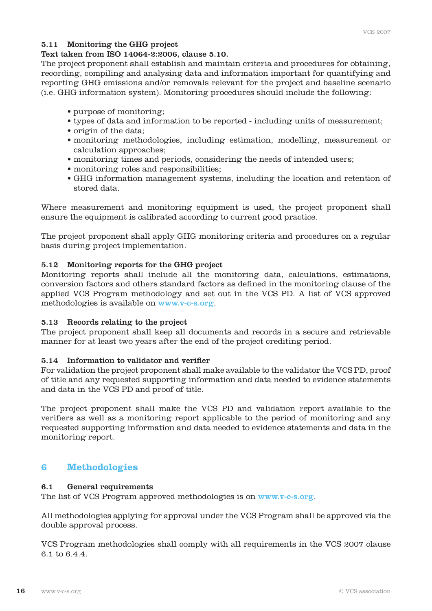# 5.11 Monitoring the GHG project

#### Text taken from ISO 14064-2:2006, clause 5.10.

The project proponent shall establish and maintain criteria and procedures for obtaining, recording, compiling and analysing data and information important for quantifying and reporting GHG emissions and/or removals relevant for the project and baseline scenario (i.e. GHG information system). Monitoring procedures should include the following:

- purpose of monitoring;
- types of data and information to be reported including units of measurement;
- origin of the data;
- monitoring methodologies, including estimation, modelling, measurement or calculation approaches;
- monitoring times and periods, considering the needs of intended users;
- monitoring roles and responsibilities;
- GHG information management systems, including the location and retention of stored data.

Where measurement and monitoring equipment is used, the project proponent shall ensure the equipment is calibrated according to current good practice.

The project proponent shall apply GHG monitoring criteria and procedures on a regular basis during project implementation.

## 5.12 Monitoring reports for the GHG project

Monitoring reports shall include all the monitoring data, calculations, estimations, conversion factors and others standard factors as defined in the monitoring clause of the applied VCS Program methodology and set out in the VCS PD. A list of VCS approved methodologies is available on www.v-c-s.org.

#### 5.13 Records relating to the project

The project proponent shall keep all documents and records in a secure and retrievable manner for at least two years after the end of the project crediting period.

#### 5.14 Information to validator and verifier

For validation the project proponent shall make available to the validator the VCS PD, proof of title and any requested supporting information and data needed to evidence statements and data in the VCS PD and proof of title.

The project proponent shall make the VCS PD and validation report available to the verifiers as well as a monitoring report applicable to the period of monitoring and any requested supporting information and data needed to evidence statements and data in the monitoring report.

# **6 Methodologies**

#### 6.1 General requirements

The list of VCS Program approved methodologies is on www.v-c-s.org.

All methodologies applying for approval under the VCS Program shall be approved via the double approval process.

VCS Program methodologies shall comply with all requirements in the VCS 2007 clause 6.1 to 6.4.4.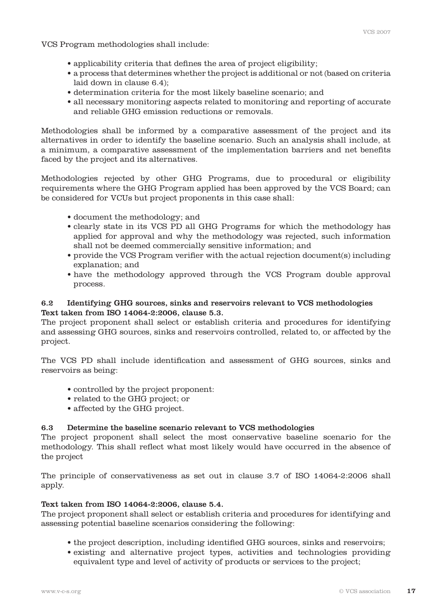VCS Program methodologies shall include:

- applicability criteria that defines the area of project eligibility;
- a process that determines whether the project is additional or not (based on criteria laid down in clause 6.4);
- determination criteria for the most likely baseline scenario; and
- all necessary monitoring aspects related to monitoring and reporting of accurate and reliable GHG emission reductions or removals.

Methodologies shall be informed by a comparative assessment of the project and its alternatives in order to identify the baseline scenario. Such an analysis shall include, at a minimum, a comparative assessment of the implementation barriers and net benefits faced by the project and its alternatives.

Methodologies rejected by other GHG Programs, due to procedural or eligibility requirements where the GHG Program applied has been approved by the VCS Board; can be considered for VCUs but project proponents in this case shall:

- document the methodology; and
- clearly state in its VCS PD all GHG Programs for which the methodology has applied for approval and why the methodology was rejected, such information shall not be deemed commercially sensitive information; and
- provide the VCS Program verifier with the actual rejection document(s) including explanation; and
- have the methodology approved through the VCS Program double approval process.

# 6.2 Identifying GHG sources, sinks and reservoirs relevant to VCS methodologies Text taken from ISO 14064-2:2006, clause 5.3.

The project proponent shall select or establish criteria and procedures for identifying and assessing GHG sources, sinks and reservoirs controlled, related to, or affected by the project.

The VCS PD shall include identification and assessment of GHG sources, sinks and reservoirs as being:

- controlled by the project proponent:
- related to the GHG project; or
- affected by the GHG project.

#### 6.3 Determine the baseline scenario relevant to VCS methodologies

The project proponent shall select the most conservative baseline scenario for the methodology. This shall reflect what most likely would have occurred in the absence of the project

The principle of conservativeness as set out in clause 3.7 of ISO 14064-2:2006 shall apply.

#### Text taken from ISO 14064-2:2006, clause 5.4.

The project proponent shall select or establish criteria and procedures for identifying and assessing potential baseline scenarios considering the following:

- the project description, including identified GHG sources, sinks and reservoirs;
- existing and alternative project types, activities and technologies providing equivalent type and level of activity of products or services to the project;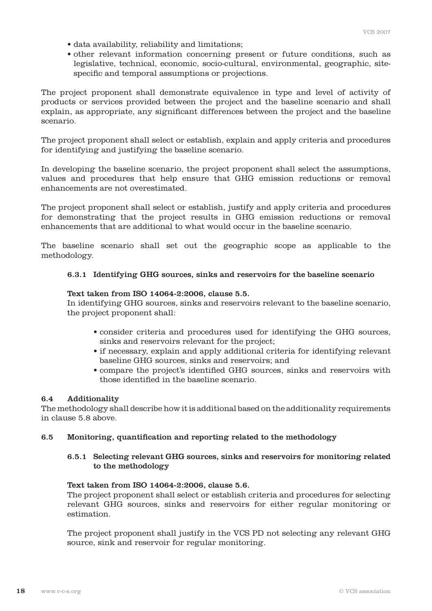- data availability, reliability and limitations;
- other relevant information concerning present or future conditions, such as legislative, technical, economic, socio-cultural, environmental, geographic, sitespecific and temporal assumptions or projections.

The project proponent shall demonstrate equivalence in type and level of activity of products or services provided between the project and the baseline scenario and shall explain, as appropriate, any significant differences between the project and the baseline scenario.

The project proponent shall select or establish, explain and apply criteria and procedures for identifying and justifying the baseline scenario.

In developing the baseline scenario, the project proponent shall select the assumptions, values and procedures that help ensure that GHG emission reductions or removal enhancements are not overestimated.

The project proponent shall select or establish, justify and apply criteria and procedures for demonstrating that the project results in GHG emission reductions or removal enhancements that are additional to what would occur in the baseline scenario.

The baseline scenario shall set out the geographic scope as applicable to the methodology.

## 6.3.1 Identifying GHG sources, sinks and reservoirs for the baseline scenario

#### Text taken from ISO 14064-2:2006, clause 5.5.

 In identifying GHG sources, sinks and reservoirs relevant to the baseline scenario, the project proponent shall:

- consider criteria and procedures used for identifying the GHG sources, sinks and reservoirs relevant for the project;
- if necessary, explain and apply additional criteria for identifying relevant baseline GHG sources, sinks and reservoirs; and
- compare the project's identified GHG sources, sinks and reservoirs with those identified in the baseline scenario.

#### 6.4 Additionality

The methodology shall describe how it is additional based on the additionality requirements in clause 5.8 above.

#### 6.5 Monitoring, quantification and reporting related to the methodology

#### 6.5.1 Selecting relevant GHG sources, sinks and reservoirs for monitoring related to the methodology

#### Text taken from ISO 14064-2:2006, clause 5.6.

 The project proponent shall select or establish criteria and procedures for selecting relevant GHG sources, sinks and reservoirs for either regular monitoring or estimation.

 The project proponent shall justify in the VCS PD not selecting any relevant GHG source, sink and reservoir for regular monitoring.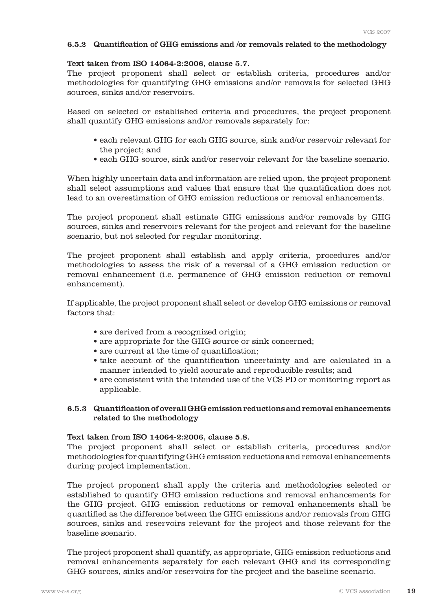#### 6.5.2 Quantification of GHG emissions and /or removals related to the methodology

#### Text taken from ISO 14064-2:2006, clause 5.7.

 The project proponent shall select or establish criteria, procedures and/or methodologies for quantifying GHG emissions and/or removals for selected GHG sources, sinks and/or reservoirs.

Based on selected or established criteria and procedures, the project proponent shall quantify GHG emissions and/or removals separately for:

- each relevant GHG for each GHG source, sink and/or reservoir relevant for the project; and
- each GHG source, sink and/or reservoir relevant for the baseline scenario.

 When highly uncertain data and information are relied upon, the project proponent shall select assumptions and values that ensure that the quantification does not lead to an overestimation of GHG emission reductions or removal enhancements.

 The project proponent shall estimate GHG emissions and/or removals by GHG sources, sinks and reservoirs relevant for the project and relevant for the baseline scenario, but not selected for regular monitoring.

 The project proponent shall establish and apply criteria, procedures and/or methodologies to assess the risk of a reversal of a GHG emission reduction or removal enhancement (i.e. permanence of GHG emission reduction or removal enhancement).

 If applicable, the project proponent shall select or develop GHG emissions or removal factors that:

- are derived from a recognized origin;
- are appropriate for the GHG source or sink concerned;
- are current at the time of quantification;
- take account of the quantification uncertainty and are calculated in a manner intended to yield accurate and reproducible results; and
- are consistent with the intended use of the VCS PD or monitoring report as applicable.

## 6.5.3 Quantification of overall GHG emission reductions and removal enhancements related to the methodology

#### Text taken from ISO 14064-2:2006, clause 5.8.

 The project proponent shall select or establish criteria, procedures and/or methodologies for quantifying GHG emission reductions and removal enhancements during project implementation.

 The project proponent shall apply the criteria and methodologies selected or established to quantify GHG emission reductions and removal enhancements for the GHG project. GHG emission reductions or removal enhancements shall be quantified as the difference between the GHG emissions and/or removals from GHG sources, sinks and reservoirs relevant for the project and those relevant for the baseline scenario.

 The project proponent shall quantify, as appropriate, GHG emission reductions and removal enhancements separately for each relevant GHG and its corresponding GHG sources, sinks and/or reservoirs for the project and the baseline scenario.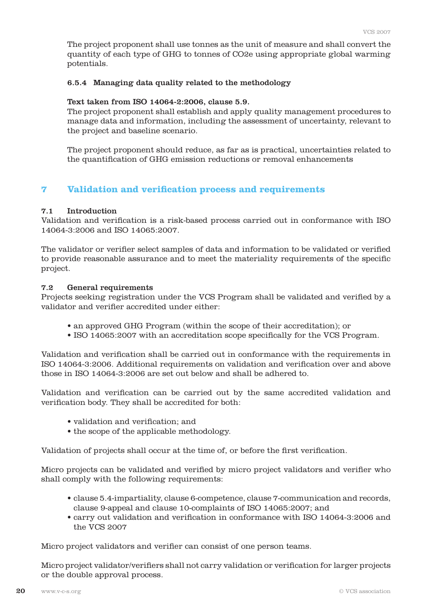The project proponent shall use tonnes as the unit of measure and shall convert the quantity of each type of GHG to tonnes of CO2e using appropriate global warming potentials.

#### 6.5.4 Managing data quality related to the methodology

#### Text taken from ISO 14064-2:2006, clause 5.9.

 The project proponent shall establish and apply quality management procedures to manage data and information, including the assessment of uncertainty, relevant to the project and baseline scenario.

 The project proponent should reduce, as far as is practical, uncertainties related to the quantification of GHG emission reductions or removal enhancements

# **7 Validation and verification process and requirements**

#### 7.1 Introduction

Validation and verification is a risk-based process carried out in conformance with ISO 14064-3:2006 and ISO 14065:2007.

The validator or verifier select samples of data and information to be validated or verified to provide reasonable assurance and to meet the materiality requirements of the specific project.

#### 7.2 General requirements

Projects seeking registration under the VCS Program shall be validated and verified by a validator and verifier accredited under either:

- an approved GHG Program (within the scope of their accreditation); or
- ISO 14065:2007 with an accreditation scope specifically for the VCS Program.

Validation and verification shall be carried out in conformance with the requirements in ISO 14064-3:2006. Additional requirements on validation and verification over and above those in ISO 14064-3:2006 are set out below and shall be adhered to.

Validation and verification can be carried out by the same accredited validation and verification body. They shall be accredited for both:

- validation and verification; and
- the scope of the applicable methodology.

Validation of projects shall occur at the time of, or before the first verification.

Micro projects can be validated and verified by micro project validators and verifier who shall comply with the following requirements:

- clause 5.4-impartiality, clause 6-competence, clause 7-communication and records, clause 9-appeal and clause 10-complaints of ISO 14065:2007; and
- carry out validation and verification in conformance with ISO 14064-3:2006 and the VCS 2007

Micro project validators and verifier can consist of one person teams.

Micro project validator/verifiers shall not carry validation or verification for larger projects or the double approval process.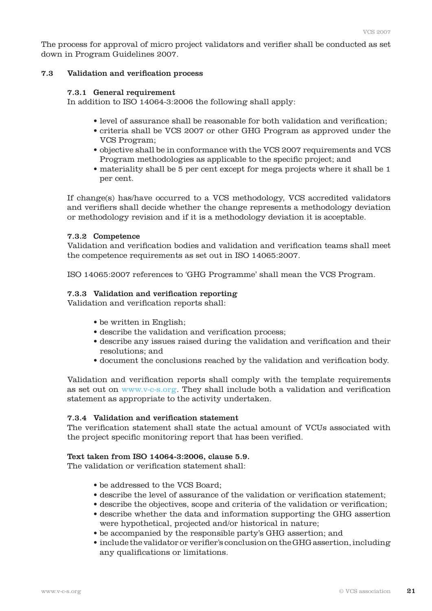The process for approval of micro project validators and verifier shall be conducted as set down in Program Guidelines 2007.

#### 7.3 Validation and verification process

#### 7.3.1 General requirement

In addition to ISO 14064-3:2006 the following shall apply:

- level of assurance shall be reasonable for both validation and verification;
- criteria shall be VCS 2007 or other GHG Program as approved under the VCS Program;
- objective shall be in conformance with the VCS 2007 requirements and VCS Program methodologies as applicable to the specific project; and
- materiality shall be 5 per cent except for mega projects where it shall be 1 per cent.

 If change(s) has/have occurred to a VCS methodology, VCS accredited validators and verifiers shall decide whether the change represents a methodology deviation or methodology revision and if it is a methodology deviation it is acceptable.

#### 7.3.2 Competence

 Validation and verification bodies and validation and verification teams shall meet the competence requirements as set out in ISO 14065:2007.

ISO 14065:2007 references to 'GHG Programme' shall mean the VCS Program.

#### 7.3.3 Validation and verification reporting

Validation and verification reports shall:

- be written in English;
- describe the validation and verification process;
- describe any issues raised during the validation and verification and their resolutions; and
- document the conclusions reached by the validation and verification body.

 Validation and verification reports shall comply with the template requirements as set out on www.v-c-s.org. They shall include both a validation and verification statement as appropriate to the activity undertaken.

#### 7.3.4 Validation and verification statement

 The verification statement shall state the actual amount of VCUs associated with the project specific monitoring report that has been verified.

#### Text taken from ISO 14064-3:2006, clause 5.9.

The validation or verification statement shall:

- be addressed to the VCS Board;
- describe the level of assurance of the validation or verification statement;
- describe the objectives, scope and criteria of the validation or verification;
- describe whether the data and information supporting the GHG assertion were hypothetical, projected and/or historical in nature;
- be accompanied by the responsible party's GHG assertion; and
- include the validator or verifier's conclusiononthe GHG assertion,including any qualifications or limitations.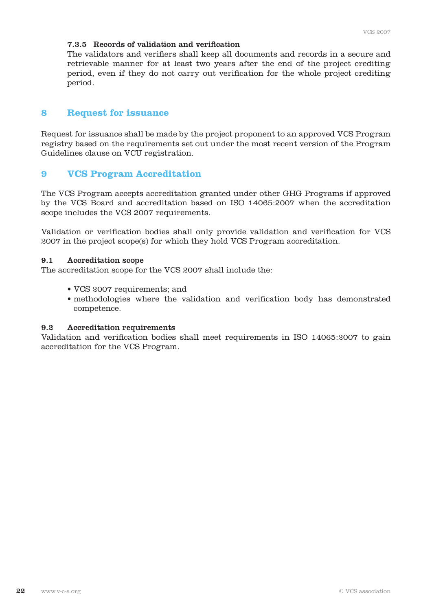#### 7.3.5 Records of validation and verification

 The validators and verifiers shall keep all documents and records in a secure and retrievable manner for at least two years after the end of the project crediting period, even if they do not carry out verification for the whole project crediting period.

# **8 Request for issuance**

Request for issuance shall be made by the project proponent to an approved VCS Program registry based on the requirements set out under the most recent version of the Program Guidelines clause on VCU registration.

# **9 VCS Program Accreditation**

The VCS Program accepts accreditation granted under other GHG Programs if approved by the VCS Board and accreditation based on ISO 14065:2007 when the accreditation scope includes the VCS 2007 requirements.

Validation or verification bodies shall only provide validation and verification for VCS 2007 in the project scope(s) for which they hold VCS Program accreditation.

#### 9.1 Accreditation scope

The accreditation scope for the VCS 2007 shall include the:

- VCS 2007 requirements; and
- methodologies where the validation and verification body has demonstrated competence.

#### 9.2 Accreditation requirements

Validation and verification bodies shall meet requirements in ISO 14065:2007 to gain accreditation for the VCS Program.